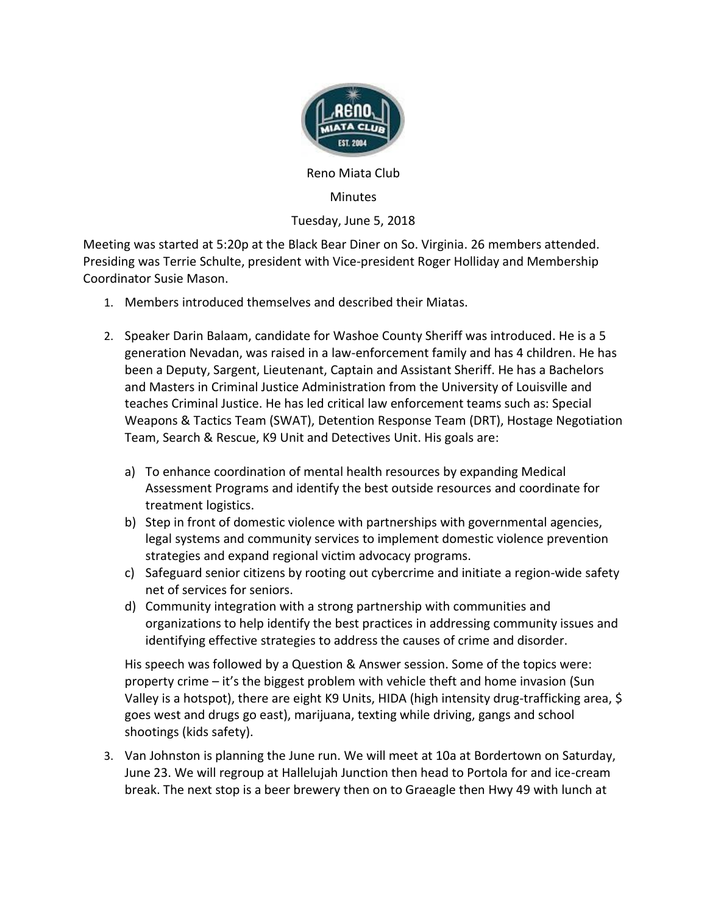

Reno Miata Club

## **Minutes**

## Tuesday, June 5, 2018

Meeting was started at 5:20p at the Black Bear Diner on So. Virginia. 26 members attended. Presiding was Terrie Schulte, president with Vice-president Roger Holliday and Membership Coordinator Susie Mason.

- 1. Members introduced themselves and described their Miatas.
- 2. Speaker Darin Balaam, candidate for Washoe County Sheriff was introduced. He is a 5 generation Nevadan, was raised in a law-enforcement family and has 4 children. He has been a Deputy, Sargent, Lieutenant, Captain and Assistant Sheriff. He has a Bachelors and Masters in Criminal Justice Administration from the University of Louisville and teaches Criminal Justice. He has led critical law enforcement teams such as: Special Weapons & Tactics Team (SWAT), Detention Response Team (DRT), Hostage Negotiation Team, Search & Rescue, K9 Unit and Detectives Unit. His goals are:
	- a) To enhance coordination of mental health resources by expanding Medical Assessment Programs and identify the best outside resources and coordinate for treatment logistics.
	- b) Step in front of domestic violence with partnerships with governmental agencies, legal systems and community services to implement domestic violence prevention strategies and expand regional victim advocacy programs.
	- c) Safeguard senior citizens by rooting out cybercrime and initiate a region-wide safety net of services for seniors.
	- d) Community integration with a strong partnership with communities and organizations to help identify the best practices in addressing community issues and identifying effective strategies to address the causes of crime and disorder.

His speech was followed by a Question & Answer session. Some of the topics were: property crime – it's the biggest problem with vehicle theft and home invasion (Sun Valley is a hotspot), there are eight K9 Units, HIDA (high intensity drug-trafficking area, \$ goes west and drugs go east), marijuana, texting while driving, gangs and school shootings (kids safety).

3. Van Johnston is planning the June run. We will meet at 10a at Bordertown on Saturday, June 23. We will regroup at Hallelujah Junction then head to Portola for and ice-cream break. The next stop is a beer brewery then on to Graeagle then Hwy 49 with lunch at